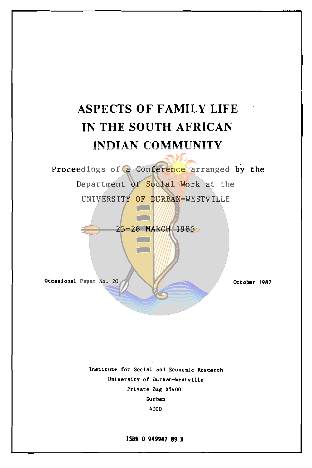# **ASPECTS OF FAMILY LIFE IN THE SOUTH AFRICAN INDIAN COMMUNITY**

Proceedings of a Conference arranged by the Department of Social Work at the UNIVERSITY OF DURBAN-WESTVILLE

25-26 MARCH 1985

 $\overline{\phantom{a}}$ **Contract State** 

**Occasional Paper Noa 20** 

**October 1987** 

**Institute for Social and Economic Research University of Durban-Westvllle Private Bag X54001 Durban**  4000

**ISBN** O **949947 89 X**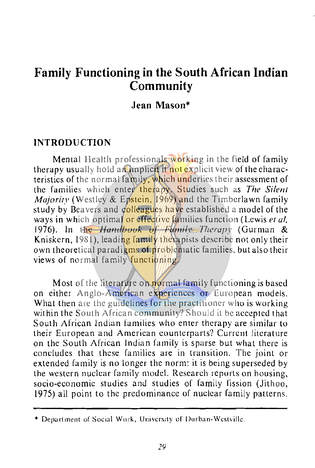# **Family Functioning in the South African Indian Community**

# **Jean Mason\***

#### **INTRODUCTION**

Mental Health professionals working in the field of family therapy usually hold an implicit if not explicit view of the characteristics of the normal family, which underlies their assessment of the families which enter therapy. Studies such as *The Si/en/ Majority* (Westley & Epstein, 1969) and the Timberlawn family study by Beavers and colleagues have established a model of the ways in which optimal or effective families function (Lewis el *al,*  1976). In the *1/andbook of Famili• Therapy* (Gurman & Kniskern, 1981), leading family there pists describe not only their own theoretical paradigms of problematic families, but also their views of normal family functioning.

Most of the literature on normal family functioning is based on either Anglo-American experiences or European models. What then are the guidelines for the practitioner who is working within the South African community? Should it be accepted that South African Indian families who enter therapy are similar to their European and American counterparts? Current literature on the South African Indian family is sparse but what there is concludes that these families are in transition. The joint or extended family is no longer the norm: it is being superseded by the western nuclear family model. Research reports on housing, socio-economic studies and studies of family fission (Jithoo, 1975) all point to the predominance of nuclear family patterns.

<sup>•</sup> Department of Social Work, University or Durban-Westville.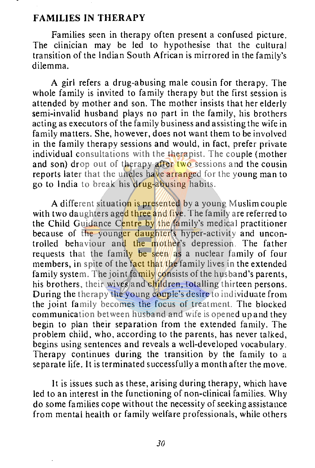#### **FAMILIES IN THERAPY**

Families seen in therapy often present a confused picture. The clinician may be led to hypothesise that the cultural transition of the Indian South African is mirrored in the family's dilemma.

A girl refers a drug-abusing male cousin for therapy. The whole family is invited to family therapy but the first session is attended by mother and son. The mother insists that her elderly semi-invalid husband plays no part in the family, his brothers acting as executors of the family business and assisting the wife in family matters. She, however, does not want them to be involved in the family therapy sessions and would, in fact, prefer private individual consultations with the therapist. The couple (mother) and son) drop out of therapy after two sessions and the cousin reports later that the uncles have arranged for the young man to go to India to break his drug-abusing habits.

A different situation is presented by a young Muslim couple with two daughters aged three and five. The family are referred to the Child Guidance Centre by the family's medical practitioner because of the younger daughter's hyper-activity and uncontrolled behaviour and the mother's depression. The father requests that the family be seen as a nuclear family of four members, in spite of the fact that the family lives in the extended family system. The joint family consists of the husband's parents, his brothers, their wives and children, totalling thirteen persons. During the therapy the young couple's desire to individuate from the joint family becomes the focus of treatment. The blocked communication between husband and wife is opened up and they begin to plan their separation from the extended family. The problem child, who, according to the parents, has never talked, begins using sentences and reveals a well-developed vocabulary. Therapy continues during the transition by the family to a separate life. It is terminated successfully a month after the move.

It is issues such as these, arising during therapy, which have led to an interest in the functioning of non-clinical families. Why do some families cope without the necessity of seeking assistance from mental health or family welfare professionals, while others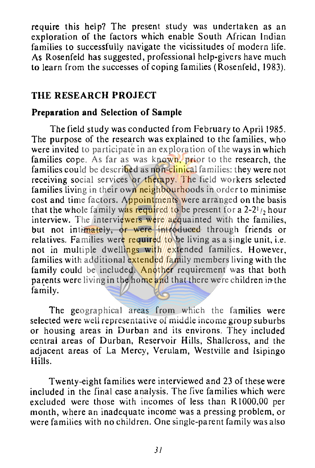require this help? The present study was undertaken as an exploration of the factors which enable South African Indian families to successfully navigate the vicissitudes of modern life. As Rosenfeld has suggested, professional help-givers have much to learn from the successes of coping families ( Rosenfeld, 1983).

# **THE RESEARCH PROJECT**

# **Preparation and Selection of Sample**

The field study was conducted from February to April 1985. The purpose of the research was explained to the families, who were invited to participate in an exploration of the ways in which families cope. As far as was known, prior to the research, the families could be described as non-clinical families: they were not receiving social services or therapy. The field workers selected families living in their own neighbourhoods in order to minimise cost and time factors. Appointments were arranged on the basis that the whole family was required to be present for a  $2-2<sup>1</sup>$ , hour interview. The interviewers were acquainted with the families, but not intimately, or were introduced through friends or relatives. Families were required to be living as a single unit, i.e. not in multiple dwellings with extended families. However, families with additional extended family members living with the family could be included. Another requirement was that both parents were living in the home and that there were children in the family.

The geographical areas from which the families were selected were well representative of middle income group suburbs or housing areas in Durban and its environs. They included central areas of Durban, Reservoir Hills, Shallcross, and the adjacent areas of La Mercy, Verulam, Westville and lsipingo Hills.

Twenty-eight families were interviewed and 23 of these were included in the final case analysis. The five families which were excluded were those with incomes of less than RI000,00 per month, where an inadequate income was a pressing problem, or were families with no children. One single-parent family was also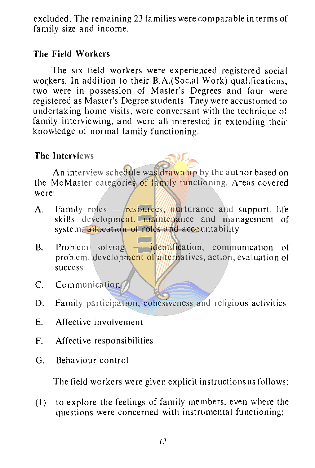excluded. The remaining 23 families were comparable in terms of family size and income.

# **The Field Workers**

The six field workers were experienced registered social workers. In addition to their B.A.(Social Work) qualifications, two were in possession of Master's Degrees and four were registered as Master's Degree students. They were accustomed to undertaking home visits, were conversant with the technique of family interviewing, and were all interested in extending their knowledge of normal family functioning.

# **The Interviews**

An interview schedule was drawn up by the author based on the McMaster categories of family functioning. Areas covered were:

- A. Family roles  $-\sqrt{\text{resources}}$  nurturance and support, life skills development, maintenance and management of system, allocation of roles and accountability
- $B$ . Problem solving  $\overline{\phantom{A}}$  identification, communication of problem, development of alternatives, action, evaluation of success
- C. Communication
- D. Family participation, cohesiveness and religious activities
- E. Affective involvement
- F. Affective responsibilities
- G. Behaviour control

The field workers were given explicit instructions as follows:

(I) to explore the feelings of family members, even where the questions were concerned with instrumental functioning;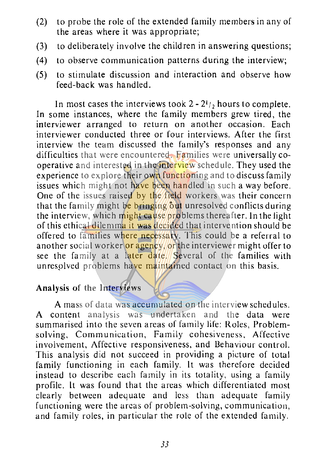- (2) to probe the role of the extended family members in any of the areas where it was appropriate;
- (3) to deliberately involve the children in answering questions;
- (4) to observe communication patterns during the interview;
- (5) to stimulate discussion and interaction and observe how feed-back was handled.

In most cases the interviews took  $2 - 2<sup>1</sup>/<sub>2</sub>$  hours to complete. In some instances, where the family members grew tired, the interviewer arranged to return on another occasion. Each interviewer conducted three or four interviews. After the first interview the team discussed the family's responses and any difficulties that were encountered. Families were universally cooperative and interested in the interview schedule. They used the experience to explore their own functioning and to discuss family issues which might not have been handled in such a way before. One of the issues raised by the field workers was their concern that the family might be bringing out unresolved conflicts during the interview, which might cause problems thereafter. In the light of this ethical dilemma it was decided that intervention should be offered to families where necessary. This could be a referral to another social worker or agency, or the interviewer might offer to see the family at a later date. Several of the families with unresolved problems have maintained contact on this basis.

# **Analysis of the Interviews**

**A** mass of data was accumulated on the interview schedules.<br>
ontent analysis was undertaken and the data were **A** content analysis was undertaken and the data were summarised into the seven areas of family life: Roles, Problemsolving, Communication, Family cohesiveness. Affective involvement, Affective responsiveness, and Behaviour control. This analysis did not succeed in providing a picture of total family functioning in each family. It was therefore decided instead to describe each family in its totality, using a family profile. It was found that the areas which differentiated most clearly between adequate and less than adequate family functioning were the areas of problem-solving, communication, and family roles, in particular the role of the extended family.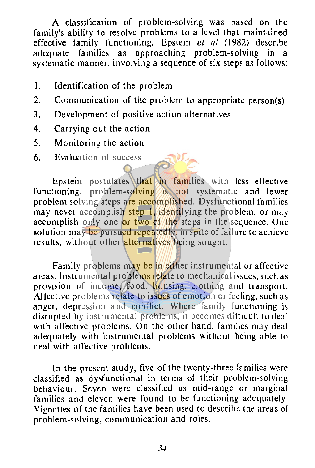A classification of problem-solving was based on the family's ability to resolve problems to a level that maintained effective family functioning. Epstein *et al* (1982) describe adequate families as approaching problem-solving in a approaching problem-solving systematic manner, involving a sequence of six steps as follows:

- I. Identification of the problem
- 2. Communication of the problem to appropriate person(s)
- **3.** Development of positive action alternatives
- **4.** Carrying out the action
- 5. Monitoring the action
- 6. Evaluation of success

Epstein postulates that in families with less effective functioning, problem-solving is not systematic and fewer problem solving steps are accomplished. Dysfunctional families may never accomplish step 1, identifying the problem, or may accomplish only one  $\frac{\partial \mathbf{r}}{\partial x}$  two of the steps in the sequence. One solution may be pursued repeatedly, in spite of failure to achieve results, without other alternatives being sought.

Family problems may be in either instrumental or affective areas. Instrumental problems relate to mechanical issues, such as provision of income, food, housing, clothing and transport. Affective problems relate to issues of emotion or feeling. such as anger, depression and conflict. Where family functioning is disrupted by instrumental problems, it becomes difficult to deal with affective problems. On the other hand, families may deal adequately with instrumental problems without being able to deal with affective problems.

In the present study, five of the twenty-three families were classified as dysfunctional in terms of their problem-solving behaviour. Seven were classified as mid-range or marginal families and eleven were found to be functioning adequately. Vignettes of the families have been used to describe the areas of problem-solving, communication and roles.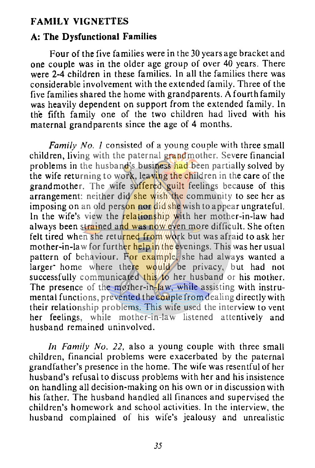#### **FAMILY VIGNETTES**

#### **A: The Dysfunctional Families**

Four of the five families were in the 30 years age bracket and one couple was in the older age group of over 40 years. There were 2-4 children in these families. In all the families there was considerable involvement with the extended family. Three of the five families shared the home with grandparents. A fourth family was heavily dependent on support from the extended family. In the fifth family one of the two children had lived with his maternal grandparents since the age of 4 months.

*Family No. 1* consisted of a young couple with three small children, living with the paternal grandmother. Severe financial problems in the husband's business had been partially solved by the wife returning to work, leaving the children in the care of the grandmother. The wife suffered guilt feelings because of this arrangement: neither did she wish the community to see her as imposing on an old person nor did she wish to appear ungrateful. In the wife's view the relationship with her mother-in-law had always been strained and was now even more difficult. She often felt tired when she returned from work but was afraid to ask her mother-in-law for further help in the evenings. This was her usual pattern of behaviour. For example, she had always wanted a larger home where there would be privacy, but had not successfully communicated this to her husband or his mother. The presence of the mother-in-law, while assisting with instrumental functions, prevented the couple from dealing directly with their relationship problems. This wife used the interview to vent her feelings, while mother-in-law listened attentively and husband remained uninvolved.

*In Family No. 22,* also a young couple with three small children, financial problems were exacerbated by the paternal grandfather's presence in the home. The wife was resentful of her husband's refusal to discuss problems with her and his insistence on handling all decision-making on his own or in discussion with his father. The husband handled all finances and supervised the children's homework and school activities. In the interview, the husband complained of his wife's jealousy and unrealistic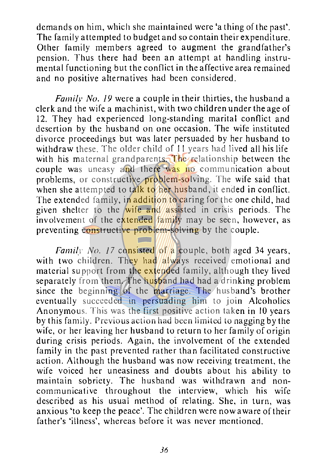demands on him, which she maintained were 'a thing of the past'. The family attempted to budget and so contain their expenditure. Other family members agreed to augment the grandfather's pension. Thus there had been an attempt at handling instru- $\frac{1}{2}$  mental functioning but the conflict in the affective area remained and no positive alternatives had been considered.

*Family No. /9* were a couple in their thirties, the husband a clerk and the wife a machinist, with two children under the age of 12. They had experienced long-standing marital conflict and desertion by the husband on one occasion. The wife instituted divorce proceedings but was later persuaded by her husband to withdraw these. The older child of 11 years had lived all his life with his maternal grandparents. The relationship between the couple was uneasy and there was no communication about problems, or constructive problem-solving. The wife said that when she attempted to talk to her husband, it ended in conflict. The extended family, in addition to caring for the one child, had given shelter to the wife and assisted in crisis periods. The involvement of the extended family may be seen, however, as preventing constructive problem-solving by the couple.

*Family No. 17* consisted of a couple, both aged 34 years, with two children. They had  $\frac{d}{dx}$  received emotional and material support from the extended family, although they lived separately from them. The husband had had a drinking problem since the beginning of the marriage. The husband's brother eventually succeeded in persuading him to join Alcoholics Anonymous. This was the first positive action taken in 10 years by this family. Previous action had been limited to nagging by the wife, or her leaving her husband to return to her family of origin during crisis periods. Again, the involvement of the extended family in the past prevented rather than facilitated constructive action. Although the husband was now receiving treatment, the wife voiced her uneasiness and doubts about his ability to maintain sobriety. The husband was withdrawn and noncommunicative throughout the interview, which his wife described as his usual method of relating. She, in turn, was anxious 'to keep the peace'. The children were now a ware of their father's 'illness', whereas before it was never mentioned.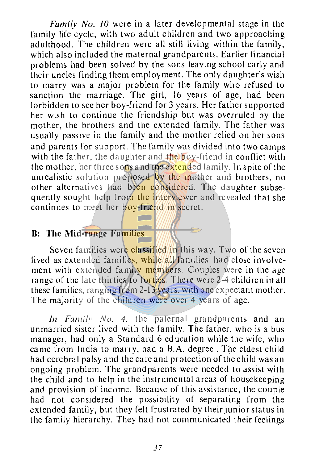*Family No. JO* were in a later developmental stage in the family life cycle, with two adult children and two approaching adulthood. The children were all still living within the family, which also included the maternal grandparents. Earlier financial problems had been solved by the sons leaving school early and their uncles finding them employment. The only daughter's wish to marry was a major problem for the family who refused to sanction the marriage. The girl, 16 years of age, had been forbidden to see her boy-friend for 3 years. Her father supported her wish to continue the friendship but was overruled by the mother, the brothers and the extended family. The father was usually passive in the family and the mother relied on her sons and parents for support. The family was divided into two camps with the father, the daughter and the boy-friend in conflict with the mother, her three sons and the extended family. In spite of the unrealistic solution proposed by the mother and brothers, no other alternatives had been considered. The daughter subsequently sought help from the interviewer and revealed that she continues to meet her boy-friend in secret.

# **B: The Mid-range Families**

Seven families were classified in this way. Two of the seven lived as extended families, while all families had close involvement with extended family members. Couples were in the age range of the late thirties to forties. There were 2-4 children in all these families, ranging from 2-13 years, with one expectant mother. The majority of the children were over 4 years of age.

*In Family No. 4, the paternal grandparents and an* unmarried sister lived with the family. The father, who is a bus manager, had only a Standard 6 education while the wife, who came from India to marry, had a B.A. degree. The eldest child had cerebral palsy and the care and protection of the child was an ongoing problem. The grandparents were needed to assist with the child and to help in the instrumental areas of housekeeping and provision of income. Because of this assistance, the couple had not considered the possibility of separating from the extended family, but they felt frustrated by their junior status in the family hierarchy. They had not communicated their feelings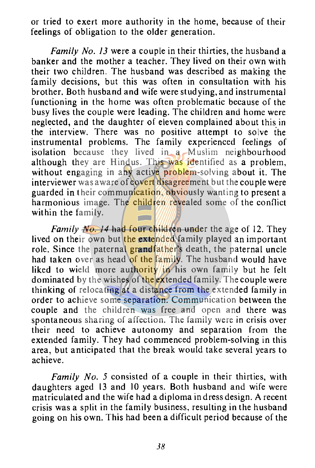or tried to exert more authority in the home, because of their feelings of obligation to the older generation.

*Family No. 13* were a couple in their thirties, the husband a banker and the mother a teacher. They lived on their own with their two children. The husband was described as making the family decisions, but this was often in consultation with his brother. Both husband and wife were studying, and instrumental functioning in the home was often problematic because of the busy lives the couple were leading. The children and home were neglected, and the daughter of eleven complained about this in the interview. There was no positive attempt to solve the instrumental problems. The family experienced feelings of isolation because they lived in a Muslim neighbourhood although they are Hindus. This was identified as a problem, without engaging in any active problem-solving about it. The interviewer was aware of covert disagreement but the couple were guarded in their communication, obviously wanting to present a harmonious image. The children revealed some of the conflict within the family.

*Family No. 14* had four children under the age of 12. They lived on their own but the extended family played an important role. Since the paternal grandfather's death, the paternal uncle had taken over as head of the family. The husband would have liked to wield more authority in his own family but he felt dominated by the wishes of the extended family. The couple were thinking of relocating at a distance from the extended family in order to achieve some separation. Communication between the couple and the children was free and open and there was spontaneous sharing of affection. The family were in crisis over their need to achieve autonomy and separation from the extended family. They had commenced problem-solving in this area, but anticipated that the break would take several years to achieve.

*Family No. 5* consisted of a couple in their thirties, with daughters aged 13 and 10 years. Both husband and wife were matriculated and the wife had a diploma in dress design. A recent crisis was a split in the family business, resulting in the husband going on his own. This had been a difficult period because of the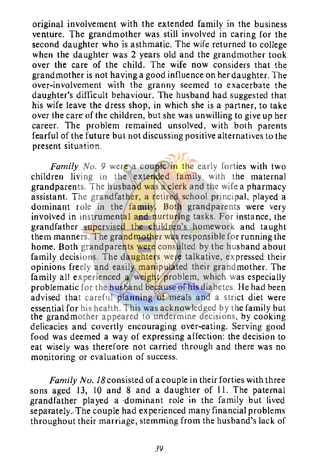original involvement with the extended family in the business venture. The grandmother was still involved in caring for the second daughter who is asthmatic. The wife returned to college when the daughter was 2 years old and the grandmother took over the care of the child. The wife now considers that the grandmother is not having a good influence on her daughter. The over-involvement with the granny seemed to exacerbate the daughter's difficult behaviour. The husband had suggested that his wife leave the dress shop, in which she is a partner, to take over the care of the children, but she was unwilling to give up her career. The problem remained unsolved, with both parents fearful of the future but not discussing positive alternatives to the present situation.

*Family No.* 9 were a couple in the early forties with two children living in the extended family with the maternal grandparents. The husband was a clerk and the wife a pharmacy assistant. The grandfather, a retired school principal, played a dominant role in the  $f_{\text{family}}$  Both grandparents were very involved in instrumental and nurturing tasks. For instance, the grandfather supervised the children's homework and taught them manners. The grandmother was responsible for running the home. Both grandparents were consulted by the husband about family decisions. The daughters were talkative, expressed their opinions freely and easily manipulated their grandmother. The family all experienced a weight problem, which was especially problematic for the husband because of his diabetes. He had been advised that careful planning of meals and a strict diet were essential for his health. This was acknowledged by the family but the grandmother appeared to undermine decisions, by cooking delicacies and covertly encouraging over-eating. Serving good food was deemed a way of expressing affection: the decision to eat wisely was therefore not carried through and there was no monitoring or evaluation of success.

*Family No. 18* consisted of a couple in their forties with three sons aged 13, 10 and 8 and a daughter of 11. The paternal grandfather played a ·dominant role in the family but lived separately.-The couple had experienced many financial problems throughout their marriage, stemming from the husband's lack of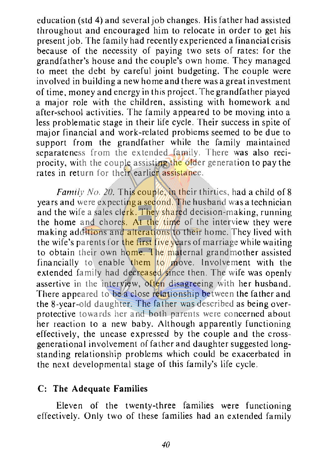education (std 4) and several job changes. His father had assisted throughout and encouraged him to relocate in order to get his present job. The family had recently experienced a financial crisis because of the necessity of paying two sets of rates: for the grandfather's house and the couple's own home. They managed to meet the debt by careful joint budgeting. The couple were involved in building a new home and there was a great investment of time, money and energy in this project. The grandfather played a major role with the children, assisting with homework and after-school activities. The family appeared to be moving into a less problematic stage in their life cycle. Their success in spite of major financial and work-related problems seemed to be due to support from the grandfather while the family maintained separateness from the extended family. There was also reciprocity, with the couple assisting the older generation to pay the rates in return for their earlier assistance.

*Family No. 20.* This couple, in their thirties, had a child of 8 years and were expecting a second. The husband was a technician and the wife a sales clerk. They shared decision-making, running the home and chores. At the time of the interview they were making additions and alterations to their home. They lived with the wife's parents for the first five years of marriage while waiting to obtain their own home. The maternal grandmother assisted financially to enable them to move. Involvement with the extended family had decreased since then. The wife was openly assertive in the interview, often disagreeing with her husband. There appeared to be a close relationship between the father and the 8-ycar-old daughter. The father was described as being overprotective towards her and both parents were concerned about her reaction to a new baby. Although apparently functioning effectively, the unease expressed by the couple and the crossgenerational involvement of father and daughter suggested longstanding relationship problems which could be exacerbated in the next developmental stage of this family's life cycle.

#### **C: The Adequate Families**

Eleven of the twenty-three families were functioning effectively. Only two of these families had an extended family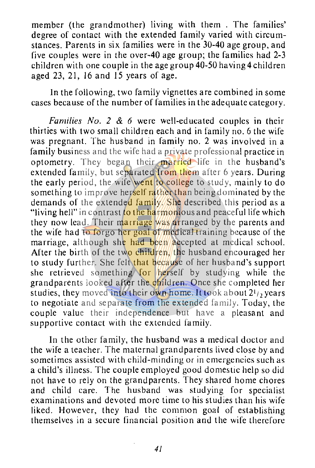member (the grandmother) living with them . The families' degree of contact with the extended family varied with circumstances. Parents in six families were in the 30-40 age group, and five couples were in the over-40 age group; the families had 2-3 children with one couple in the age group  $40-50$  having 4 children aged 23, 21, 16 and 15 years of age.

In the following, two family vignettes are combined in some cases because of the number of families in the adequate category.

*Families No. 2* & *6* were well-educated couples in their thirties with two small children each and in family no. 6 the wife was pregnant. The husband in family no. 2 was involved in a family business and the wife had a private professional practice in optometry. They began their married life in the husband's extended family, but separated from them after 6 years. During the early period, the wife went to college to study, mainly to do something to improve herself rather than being dominated by the demands of the extended family. She described this period as a "living hell" in contrast to the harmonious and peaceful life which they now lead. Their marriage was arranged by the parents and the wife had to forgo her goal of medical training because of the marriage, although she had been accepted at medical school. After the birth of the two children, the husband encouraged her to study further. She felt that because of her husband's support she retrieved something for herself by studying while the grandparents looked after the children. Once she completed her studies, they moved into their own home. It took about  $2^{1/2}$  years to negotiate and separate from the extended family. Today, the couple value their independence but have a pleasant and supportive contact with the extended family.

In the other family, the husband was a medical doctor and the wife a teacher. The maternal grandparents lived close by and sometimes assisted with child-minding or in emergencies such as a child's illness. The couple employed good domestic help so did not have to rely on the grandparents. They shared home chores and child care. The husband was studying for specialist examinations and devoted more time to his studies than his wife liked. However, they had the common goal of establishing themselves in a secure financial position and the wife therefore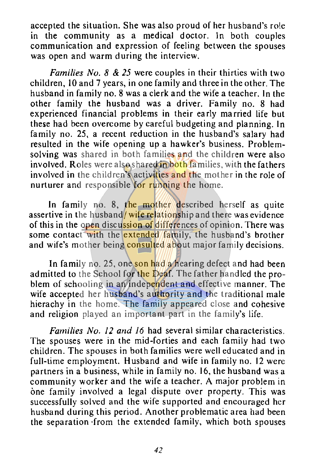accepted the situation. She was also proud of her husband's role in the community as a medical doctor. In both couples communication and expression of feeling between the spouses was open and warm during the interview.

*Families No. 8* & *25* were couples in their thirties with two children, 10 and 7 years, in one family and three in the other. The husband in family no. 8 was a clerk and the wife a teacher. In the other family the husband was a driver. Family no. 8 had experienced financial problems in their early married life but these had been overcome by careful budgeting and planning. In family no. 25, a recent reduction in the husband's salary had resulted in the wife opening up a hawker's business. Problemsolving was shared in both families and the children were also involved. Roles were also shared in both families, with the fathers involved in the children's activities and the mother in the role of nurturer and responsible for running the home.

In family no. 8, the mother described herself as quite assertive in the husband/ wife relationship and there was evidence of this in the open discussion of differences of opinion. There was some contact with the extended family, the husband's brother and wife's mother being consulted about major family decisions.

In family no. 25, one son had a hearing defect and had been admitted to the School for the Deaf. The father handled the problem of schooling in an independent and effective manner. The wife accepted her husband's authority and the traditional male hierachy in the home. The family appeared close and cohesive and religion played an important part in the family's life.

*Families No. 12 and 16* had several similar characteristics. The spouses were in the mid-forties and each family had two children. The spouses in both families were well educated and in full-time employment. Husband and wife in family no. 12 were partners in a business, while in family no. 16, the husband was a community worker and the wife a teacher. A major problem in one family involved a legal dispute over property. This was successfully solved and the wife supported and encouraged her husband during this period. Another problematic area had been the separation ·from the extended family, which both spouses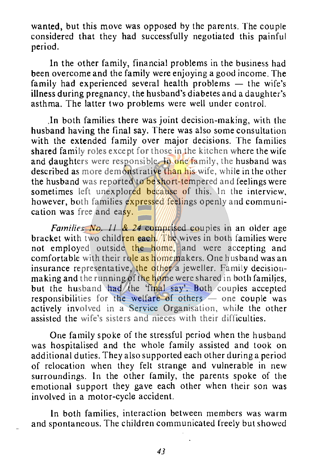wanted, but this move was opposed by the parents. The couple considered that they had successfully negotiated this painful period.

In the other family, financial problems in the business had been overcome and the family were enjoying a good income. The family had experienced several health problems  $-$  the wife's illness during pregnancy, the husband's diabetes and a daughter's asthma. The latter two problems were well under control.

.In both families there was joint decision-making, with the husband having the final say. There was also some consultation with the extended family over major decisions. The families shared family roles except for those in the kitchen where the wife and daughters were responsible. In one family, the husband was described as more demonstrative than his wife, while in the other the husband was reported to be short-tempered and feelings were sometimes left unexplored because of this. In the interview, however, both families expressed feelings openly and communication was free and easy.

*Families No. 11 & 24* comprised couples in an older age bracket with two children each. The wives in both families were not employed outside the home, and were accepting and comfortable with their role as homemakers. One husband was an insurance representative, the other a jeweller. Family decisionmaking and the running of the home were shared in both families, but the husband had the 'final say'. Both couples accepted responsibilities for the welfare of others - one couple was actively involved in a Service Organisation, while the other assisted the wife's sisters and nieces with their difficulties.

One family spoke of the stressful period when the husband was hospitalised and the whole family assisted and took on additional duties. They also supported each other during a period of relocation when they felt strange and vulnerable in new surroundings. In the other family, the parents spoke of the emotional support they gave each other when their son was involved in a motor-cycle accident.

ln both families, interaction between members was warm and spontaneous. The children communicated freely but showed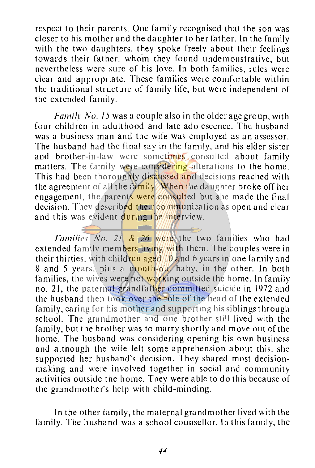respect to their parents. One family recognised that the son was closer to his mother and the daughter to her father. In the family with the two daughters, they spoke freely about their feelings towards their father, who'm they found undemonstrative, but nevertheless were sure of his love. In both families, rules were clear and appropriate. These families were comfortable within the traditional structure of family life, but were independent of the extended family.

*Famill' No. /5* was a couple also in the older age group, with four children in adulthood and late adolescence. The husband was a business man and the wife was employed as an assessor. The husband had the final say in the family, and his elder sister and brother-in-law were sometimes consulted about family matters. The family were considering alterations to the home. This had been thoroughly discussed and decisions reached with the agreement of all the family. When the daughter broke off her engagement, the parents were consulted but she made the final decision. They described their communication as open and clear and this was evident  $\frac{during}{d}$  the interview.

*Families No. 21* & *26* were the two families who had extended family members living with them. The couples were in their thirties, with children aged  $10$  and 6 years in one family and 8 and 5 years, plus a month-old baby, in the other. In both families, the wives were not working outside the home. In family no. 21, the paternal grandfather committed suicide in 1972 and the husband then took over the role of the head of the extended family, caring for his mother and supporting his siblings through school. The grandmother and one brother still lived with the family, but the brother was to marry shortly and move out of the home. The husband was considering opening his own business and although the wile felt some apprehension about this, she supported her husband's decision. They shared most decisionmaking and were involved together in social and community activities outside the home. They were able to do this because of the grandmother's help with child-minding.

In the other family, the maternal grandmother lived with the family. The husband was a school counsellor. In this family, the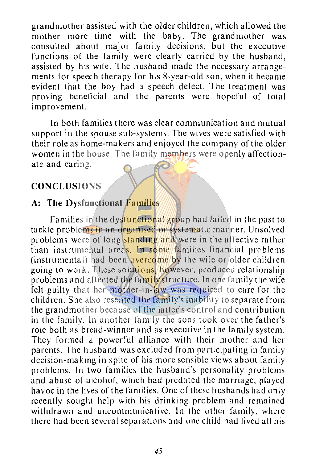grandmother assisted with the older children, which allowed the mother more time with the baby. The grandmother was consulted about major family decisions, but the executive functions of the family were clearly carried by the husband, assisted by his wife. The husband made the necessary arrangements for speech therapy for his 8-year-old son, when it became evident that the boy had a speech defect. The treatment was proving beneficial and the parents were hopeful of total improvement.

In both families there was clear communication and mutual support in the spouse sub-systems. The wives were satisfied with their role as home-makers and enjoyed the company of the older women in the house. The family members were openly affectionate and caring.

#### **CONCLUSIONS**

#### **A: The Dysfunctional Families**

Families in the dysfunctional group had failed in the past to tackle problems in an organised or systematic manner. Unsolved problems were of long standing and were in the affective rather than instrumental areas. In some families financial problems (instrumental) had been overcome by the wife or older children going to work. These solutions, however, produced relationship problems and affected the family structure. In one family the wife felt guilty that her mother-in-law was required to care for the children. She also resented the family's inability to separate from the grandmother because of the latter's control and contribution in the family. In another family the sons took over the father's role both as bread-winner and as executive in the family system. They formed a powerful alliance with their mother and her parents. The husband was excluded from participating in family decision-making in spite of his more sensible views about family problems. In two families the husband's personality problems and abuse of alcohol, which had predated the marriage, played havoc in the lives of the families. One of these husbands had only recently sought help with his drinking problem and remained withdrawn and uncommunicative. In the other family, where there had been several separations and one child had lived all his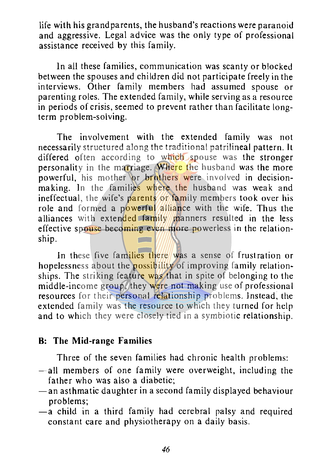life with his grandparents, the husband's reactions were paranoid and aggressive. Legal advice was the only type of professional assistance received by this family.

In all these families, communication was scanty or blocked between the spouses and children did not participate freely in the interviews. Other family members had assumed spouse or parenting roles. The extended family, while serving as a resource in periods of crisis, seemed to prevent rather than facilitate longterm problem-solving.

The involvement with the extended family was not necessarily structured along the traditional patrilineal pattern. It differed often according to which spouse was the stronger personality in the marriage. Where the husband was the more powerful, his mother or brothers were involved in decisionmaking. In the families where the husband was weak and ineffectual, the wife's parents or family members took over his role and formed a powerful alliance with the wife. Thus the alliances with extended family manners resulted in the less effective spouse becoming even more powerless in the relationship.

In these five families there was a sense of frustration or hopelessness about the **possibility** of improving family relationships. The striking feature was that in spite of belonging to the middle-income group, they were not making use of professional resources for their personal relationship problems. Instead, the extended family was the resource to which they turned for help and to which they were closely tied in a symbiotic relationship.

# **B: The Mid-range Families**

Three of the seven families had chronic health problems:

- -all members of one family were overweight, including the father who was also a diabetic;
- $-$ an asthmatic daughter in a second family displayed behaviour problems;
- $-\overline{a}$  child in a third family had cerebral palsy and required constant care and physiotherapy on a daily basis.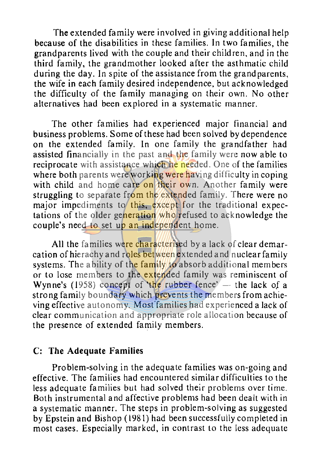The extended family were involved in giving additional help because of the disabilities in these families. In two families, the grandparents lived with the couple and their children, and in the third family, the grandmother looked after the asthmatic child during the day. In spite of the assistance from the grandparents, the wife in each family desired independence, but acknowledged the difficulty of the family managing on their own. No other alternatives had been explored in a systematic manner.

The other families had experienced major financial and business problems. Some of these had been solved by dependence on the extended family. In one family the grandfather had assisted financially in the past and the family were now able to reciprocate with assistance which he needed. One of the families where both parents were working were having difficulty in coping with child and home care on their own. Another family were struggling to separate from the extended family. There were no major impediments to this, except for the traditional expectations of the older generation who refused to acknowledge the couple's need to set up an independent home.

All the families were characterised by a lack of clear demarcation of hierachy and roles between extended and nuclear family systems. The ability of the family to absorb additional members or to lose members to the extended family was reminiscent of **Wynne's** (1958) concept of 'the rubber fence'  $-$  the lack of a strong family boundary which prevents the members from achieving effective autonomy. Most'families had experienced a lack of clear communication and appropriate role allocation because of the presence of extended family members.

#### **C: The Adequate Families**

Problem-solving in the adequate families was on-going and effective. The families had encountered similar difficulties to the less adequate families but had solved their problems over time. Both instrumental and affective problems had been dealt with in a systematic manner. The steps in problem-solving as suggested by Epstein and Bishop ( 1981) had been successfully completed in most cases. Especially marked, in contrast to the less adequate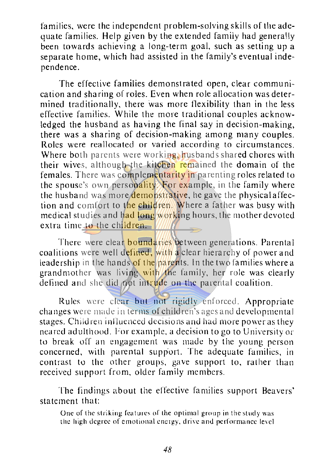families, were the independent problem-solving skills of the adequate families. Help given by the extended family had generally been towards achieving a long-term goal, such as setting up a separate home, which had assisted in the family's eventual independence.

The effective families demonstrated open, clear communication and sharing of roles. Even when role allocation was determined traditionally, there was more flexibility than in the less effective families. While the more traditional couples acknowledged the husband as having the final say in decision-making, there was a sharing of decision-making among many couples. Roles were reallocated or varied according to circumstances. Where both parents were working, husbands shared chores with their wives, although the kitchen remained the domain of the females. There was complementarity in parenting roles related to the spouse's own personality. For example, in the family where the husband was more demonstrative, he gave the physical affection and comfort to the children. Where a father was busy with medical studies and had long working hours, the mother devoted extra time to the children.

There were clear **boundaries** between generations. Parental coalitions were well defined, with a clear hierarchy of power and leadership in the hands of the parents. In the two families where a grandmother was living with the family, her role was clearly defined and she did not intrude on the parental coalition.

Rules were clear but not rigidly enforced. Appropriate changes were made in terms of children's ages and developmental stages. Children influenced decisions and had more power as they neared adulthood. For example. a decision to go to University or to break off an engagement was made by the young person concerned, with parental support. The adequate families, in contrast to the other groups, gave support to, rather than received support from, older family members.

The findings about the effective families support Beavers' statement that:

One of the striking features of the optimal group in the study was the high degree of emotional energy, drive and performance level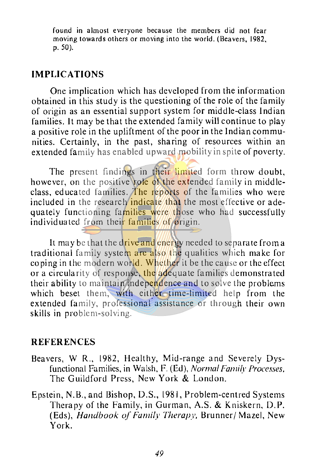found in almost everyone because the members did not fear moving towards others or moving into the world. (Beavers, 1982, p. 50).

#### **IMPLICATIONS**

One implication which has developed from the information obtained in this study is the questioning of the role of the family of origin as an essential support system for middle-class Indian families. It may be that the extended family will continue to play a positive role in the upliftment of the poor in the Indian communities. Certainly, in the past, sharing of resources within an extended family has enabled upward mobility in spite of poverty.

The present findings in their limited form throw doubt, however, on the positive role of the extended family in middleclass, educated families. The reports of the families who were included in the research indicate that the most effective or adequately functioning families were those who had successfully individuated from their families of origin.

It may be that the drive and energy needed to separate from a traditional family system are also the qualities which make for coping in the modern world. Whether it be the cause or the effect or a circularity of response, the adequate families demonstrated their ability to maintain independence and to solve the problems which beset them, with either time-limited help from the extended family, professional assistance or through their own skills in problem-solving.

#### **REFERENCES**

- Beavers, W R., 1982, Healthy, Mid-range and Severely Dysfunctional Families, in Walsh, F. (Ed), *Normal Family Processes*, The Guildford Press, New York & London.
- Epstein, N.B., and Bishop, D.S., 1981, Problem-centred Systems Therapy of the Family, in Gurman, A.S. & Kniskern, D.P. (Eds), *Handbook of Family Therapy,* Brunner/ Maze!, New York.